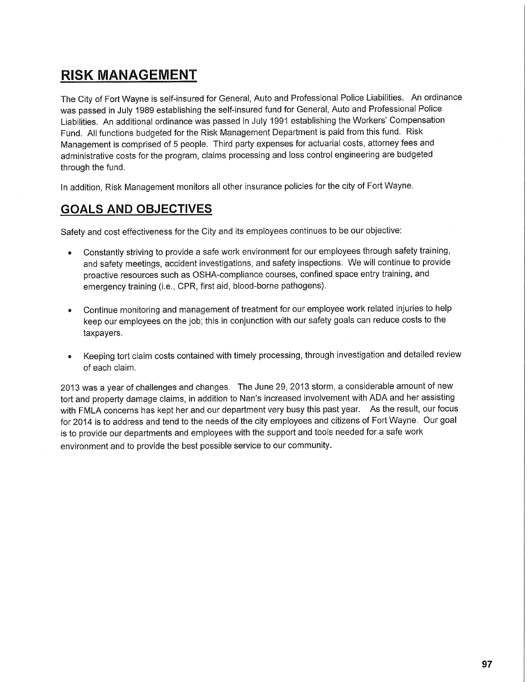## **RISK MANAGEMENT**

The City of Fort Wayne is self-insured for General, Auto and Professional Police Liabilities. An ordinance was passed in July 1989 establishing the self-insured fund for General, Auto and Professional Police Liabilities. An additional ordinance was passed in July 1991 establishing the Workers' Compensation Fund. All functions budgeted for the Risk Management Department is paid from this fund. Risk Management is comprised of 5 people. Third party expenses for actuarial costs, attorney fees and administrative costs for the program, claims processing and loss control engineering are budgeted through the fund.

In addition, Risk Management monitors all other insurance policies for the city of Fort Wayne.

## **GOALS AND OBJECTIVES**

Safety and cost effectiveness for the City and its employees continues to be our objective:

- Constantly striving to provide a safe work environment for our employees through safety training, and safety meetings, accident investigations, and safety inspections. We will continue to provide proactive resources such as OSHA-compliance courses, confined space entry training, and emergency training (i.e., CPR, first aid, blood-borne pathogens).
- Continue monitoring and management of treatment for our employee work related injuries to help keep our employees on the job; this in conjunction with our safety goals can reduce costs to the taxpayers.
- Keeping tort claim costs contained with timely processing, through investigation and detailed review of each claim.

2013 was a year of challenges and changes. The June 29, 2013 storm, a considerable amount of new tort and property damage claims, in addition to Nan's increased involvement with ADA and her assisting with FMLA concerns has kept her and our department very busy this past year. As the result, our focus for 2014 is to address and tend to the needs of the city employees and citizens of Fort Wayne. Our goal is to provide our departments and employees with the support and tools needed for a safe work environment and to provide the best possible service to our community.